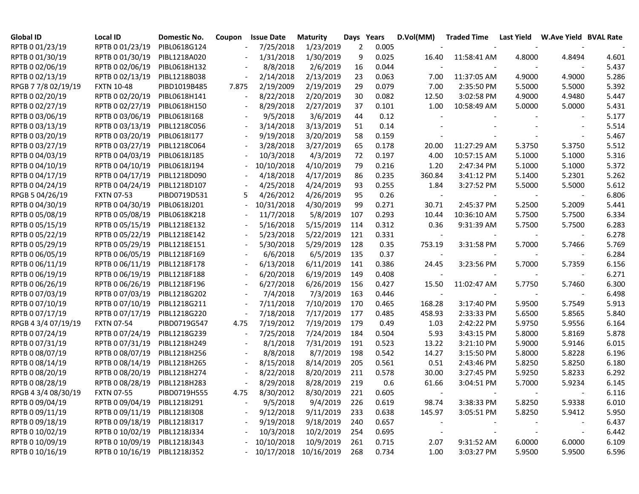| <b>Global ID</b>    | Local ID                     | <b>Domestic No.</b> | Coupon         | <b>Issue Date</b> | <b>Maturity</b> | Days | Years | D.Vol(MM)                | <b>Traded Time</b> | Last Yield | <b>W.Ave Yield BVAL Rate</b> |       |
|---------------------|------------------------------|---------------------|----------------|-------------------|-----------------|------|-------|--------------------------|--------------------|------------|------------------------------|-------|
| RPTB 0 01/23/19     | RPTB 0 01/23/19              | PIBL0618G124        |                | 7/25/2018         | 1/23/2019       | 2    | 0.005 |                          |                    |            |                              |       |
| RPTB 0 01/30/19     | RPTB 0 01/30/19              | PIBL1218A020        |                | 1/31/2018         | 1/30/2019       | 9    | 0.025 | 16.40                    | 11:58:41 AM        | 4.8000     | 4.8494                       | 4.601 |
| RPTB 0 02/06/19     | RPTB 0 02/06/19              | PIBL0618H132        |                | 8/8/2018          | 2/6/2019        | 16   | 0.044 |                          |                    |            |                              | 5.437 |
| RPTB 0 02/13/19     | RPTB 0 02/13/19              | PIBL1218B038        |                | 2/14/2018         | 2/13/2019       | 23   | 0.063 | 7.00                     | 11:37:05 AM        | 4.9000     | 4.9000                       | 5.286 |
| RPGB 7 7/8 02/19/19 | <b>FXTN 10-48</b>            | PIBD1019B485        | 7.875          | 2/19/2009         | 2/19/2019       | 29   | 0.079 | 7.00                     | 2:35:50 PM         | 5.5000     | 5.5000                       | 5.392 |
| RPTB 0 02/20/19     | RPTB 0 02/20/19              | PIBL0618H141        |                | 8/22/2018         | 2/20/2019       | 30   | 0.082 | 12.50                    | 3:02:58 PM         | 4.9000     | 4.9480                       | 5.447 |
| RPTB 0 02/27/19     | RPTB 0 02/27/19              | PIBL0618H150        |                | 8/29/2018         | 2/27/2019       | 37   | 0.101 | 1.00                     | 10:58:49 AM        | 5.0000     | 5.0000                       | 5.431 |
| RPTB 0 03/06/19     | RPTB 0 03/06/19              | PIBL0618I168        | $\blacksquare$ | 9/5/2018          | 3/6/2019        | 44   | 0.12  |                          |                    |            |                              | 5.177 |
| RPTB 0 03/13/19     | RPTB 0 03/13/19              | PIBL1218C056        |                | 3/14/2018         | 3/13/2019       | 51   | 0.14  |                          |                    |            |                              | 5.514 |
| RPTB 0 03/20/19     | RPTB 0 03/20/19              | PIBL0618I177        |                | 9/19/2018         | 3/20/2019       | 58   | 0.159 |                          |                    |            |                              | 5.467 |
| RPTB 0 03/27/19     | RPTB 0 03/27/19              | PIBL1218C064        |                | 3/28/2018         | 3/27/2019       | 65   | 0.178 | 20.00                    | 11:27:29 AM        | 5.3750     | 5.3750                       | 5.512 |
| RPTB 0 04/03/19     | RPTB 0 04/03/19              | PIBL0618J185        |                | 10/3/2018         | 4/3/2019        | 72   | 0.197 | 4.00                     | 10:57:15 AM        | 5.1000     | 5.1000                       | 5.316 |
| RPTB 0 04/10/19     | RPTB 0 04/10/19              | PIBL0618J194        |                | 10/10/2018        | 4/10/2019       | 79   | 0.216 | 1.20                     | 2:47:34 PM         | 5.1000     | 5.1000                       | 5.372 |
| RPTB 0 04/17/19     | RPTB 0 04/17/19              | PIBL1218D090        |                | 4/18/2018         | 4/17/2019       | 86   | 0.235 | 360.84                   | 3:41:12 PM         | 5.1400     | 5.2301                       | 5.262 |
| RPTB 0 04/24/19     | RPTB 0 04/24/19              | PIBL1218D107        |                | 4/25/2018         | 4/24/2019       | 93   | 0.255 | 1.84                     | 3:27:52 PM         | 5.5000     | 5.5000                       | 5.612 |
| RPGB 5 04/26/19     | <b>FXTN 07-53</b>            | PIBD0719D531        | 5              | 4/26/2012         | 4/26/2019       | 95   | 0.26  | $\overline{\phantom{a}}$ |                    |            |                              | 6.806 |
| RPTB 0 04/30/19     | RPTB 0 04/30/19              | PIBL0618J201        |                | 10/31/2018        | 4/30/2019       | 99   | 0.271 | 30.71                    | 2:45:37 PM         | 5.2500     | 5.2009                       | 5.441 |
| RPTB 0 05/08/19     | RPTB 0 05/08/19              | PIBL0618K218        |                | 11/7/2018         | 5/8/2019        | 107  | 0.293 | 10.44                    | 10:36:10 AM        | 5.7500     | 5.7500                       | 6.334 |
| RPTB 0 05/15/19     | RPTB 0 05/15/19              | PIBL1218E132        |                | 5/16/2018         | 5/15/2019       | 114  | 0.312 | 0.36                     | 9:31:39 AM         | 5.7500     | 5.7500                       | 6.283 |
| RPTB 0 05/22/19     | RPTB 0 05/22/19              | PIBL1218E142        |                | 5/23/2018         | 5/22/2019       | 121  | 0.331 | $\overline{\phantom{a}}$ |                    |            |                              | 6.278 |
| RPTB 0 05/29/19     | RPTB 0 05/29/19              | PIBL1218E151        |                | 5/30/2018         | 5/29/2019       | 128  | 0.35  | 753.19                   | 3:31:58 PM         | 5.7000     | 5.7466                       | 5.769 |
| RPTB 0 06/05/19     | RPTB 0 06/05/19              | PIBL1218F169        |                | 6/6/2018          | 6/5/2019        | 135  | 0.37  | $\overline{\phantom{a}}$ |                    |            |                              | 6.284 |
| RPTB 0 06/11/19     | RPTB 0 06/11/19              | PIBL1218F178        |                | 6/13/2018         | 6/11/2019       | 141  | 0.386 | 24.45                    | 3:23:56 PM         | 5.7000     | 5.7359                       | 6.156 |
| RPTB 0 06/19/19     | RPTB 0 06/19/19              | PIBL1218F188        |                | 6/20/2018         | 6/19/2019       | 149  | 0.408 |                          |                    |            |                              | 6.271 |
| RPTB 0 06/26/19     | RPTB 0 06/26/19              | PIBL1218F196        |                | 6/27/2018         | 6/26/2019       | 156  | 0.427 | 15.50                    | 11:02:47 AM        | 5.7750     | 5.7460                       | 6.300 |
| RPTB 0 07/03/19     | RPTB 0 07/03/19              | PIBL1218G202        |                | 7/4/2018          | 7/3/2019        | 163  | 0.446 |                          |                    |            |                              | 6.498 |
| RPTB 0 07/10/19     | RPTB 0 07/10/19              | PIBL1218G211        |                | 7/11/2018         | 7/10/2019       | 170  | 0.465 | 168.28                   | 3:17:40 PM         | 5.9500     | 5.7549                       | 5.913 |
| RPTB 0 07/17/19     | RPTB 0 07/17/19              | PIBL1218G220        |                | 7/18/2018         | 7/17/2019       | 177  | 0.485 | 458.93                   | 2:33:33 PM         | 5.6500     | 5.8565                       | 5.840 |
| RPGB 4 3/4 07/19/19 | <b>FXTN 07-54</b>            | PIBD0719G547        | 4.75           | 7/19/2012         | 7/19/2019       | 179  | 0.49  | 1.03                     | 2:42:22 PM         | 5.9750     | 5.9556                       | 6.164 |
| RPTB 0 07/24/19     | RPTB 0 07/24/19              | PIBL1218G239        |                | 7/25/2018         | 7/24/2019       | 184  | 0.504 | 5.93                     | 3:43:15 PM         | 5.8000     | 5.8169                       | 5.878 |
| RPTB 0 07/31/19     | RPTB 0 07/31/19              | PIBL1218H249        |                | 8/1/2018          | 7/31/2019       | 191  | 0.523 | 13.22                    | 3:21:10 PM         | 5.9000     | 5.9146                       | 6.015 |
| RPTB 0 08/07/19     | RPTB 0 08/07/19              | PIBL1218H256        |                | 8/8/2018          | 8/7/2019        | 198  | 0.542 | 14.27                    | 3:15:50 PM         | 5.8000     | 5.8228                       | 6.196 |
| RPTB 0 08/14/19     | RPTB 0 08/14/19              | PIBL1218H265        | $\blacksquare$ | 8/15/2018         | 8/14/2019       | 205  | 0.561 | 0.51                     | 2:43:46 PM         | 5.8250     | 5.8250                       | 6.180 |
| RPTB 0 08/20/19     | RPTB 0 08/20/19              | PIBL1218H274        |                | 8/22/2018         | 8/20/2019       | 211  | 0.578 | 30.00                    | 3:27:45 PM         | 5.9250     | 5.8233                       | 6.292 |
| RPTB 0 08/28/19     | RPTB 0 08/28/19              | PIBL1218H283        |                | 8/29/2018         | 8/28/2019       | 219  | 0.6   | 61.66                    | 3:04:51 PM         | 5.7000     | 5.9234                       | 6.145 |
| RPGB 4 3/4 08/30/19 | <b>FXTN 07-55</b>            | PIBD0719H555        | 4.75           | 8/30/2012         | 8/30/2019       | 221  | 0.605 |                          |                    |            |                              | 6.116 |
| RPTB 0 09/04/19     | RPTB 0 09/04/19              | PIBL1218I291        |                | 9/5/2018          | 9/4/2019        | 226  | 0.619 | 98.74                    | 3:38:33 PM         | 5.8250     | 5.9338                       | 6.010 |
| RPTB 0 09/11/19     | RPTB 0 09/11/19 PIBL1218I308 |                     |                | 9/12/2018         | 9/11/2019       | 233  | 0.638 | 145.97                   | 3:05:51 PM         | 5.8250     | 5.9412                       | 5.950 |
| RPTB 0 09/18/19     | RPTB 0 09/18/19              | PIBL1218I317        |                | 9/19/2018         | 9/18/2019       | 240  | 0.657 | $\overline{\phantom{a}}$ |                    |            | $\overline{\phantom{a}}$     | 6.437 |
| RPTB 0 10/02/19     | RPTB 0 10/02/19              | PIBL1218J334        |                | 10/3/2018         | 10/2/2019       | 254  | 0.695 | $\overline{\phantom{a}}$ |                    |            | $\overline{\phantom{a}}$     | 6.442 |
| RPTB 0 10/09/19     | RPTB 0 10/09/19              | PIBL1218J343        |                | 10/10/2018        | 10/9/2019       | 261  | 0.715 | 2.07                     | 9:31:52 AM         | 6.0000     | 6.0000                       | 6.109 |
| RPTB 0 10/16/19     | RPTB 0 10/16/19              | PIBL1218J352        |                | $-10/17/2018$     | 10/16/2019      | 268  | 0.734 | 1.00                     | 3:03:27 PM         | 5.9500     | 5.9500                       | 6.596 |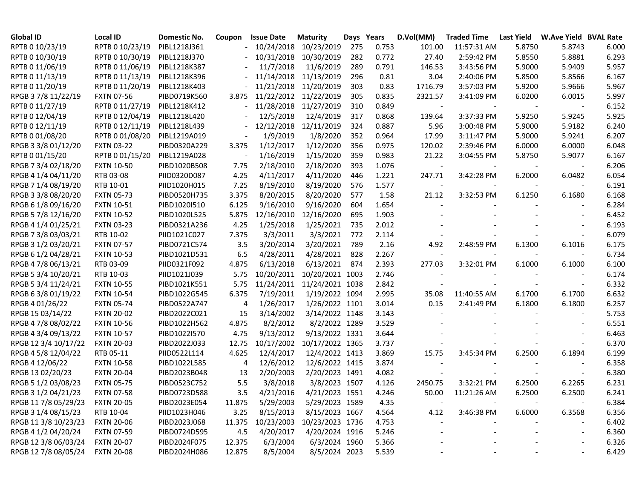| <b>Global ID</b>     | Local ID          | Domestic No. | Coupon                   | <b>Issue Date</b> | <b>Maturity</b> |     | Days Years | D.Vol(MM) | <b>Traded Time</b> | <b>Last Yield</b> | <b>W.Ave Yield BVAL Rate</b> |       |
|----------------------|-------------------|--------------|--------------------------|-------------------|-----------------|-----|------------|-----------|--------------------|-------------------|------------------------------|-------|
| RPTB 0 10/23/19      | RPTB 0 10/23/19   | PIBL1218J361 | $\overline{\phantom{a}}$ | 10/24/2018        | 10/23/2019      | 275 | 0.753      | 101.00    | 11:57:31 AM        | 5.8750            | 5.8743                       | 6.000 |
| RPTB 0 10/30/19      | RPTB 0 10/30/19   | PIBL1218J370 |                          | 10/31/2018        | 10/30/2019      | 282 | 0.772      | 27.40     | 2:59:42 PM         | 5.8550            | 5.8881                       | 6.293 |
| RPTB 0 11/06/19      | RPTB 0 11/06/19   | PIBL1218K387 |                          | 11/7/2018         | 11/6/2019       | 289 | 0.791      | 146.53    | 3:43:56 PM         | 5.9000            | 5.9409                       | 5.957 |
| RPTB 0 11/13/19      | RPTB 0 11/13/19   | PIBL1218K396 |                          | 11/14/2018        | 11/13/2019      | 296 | 0.81       | 3.04      | 2:40:06 PM         | 5.8500            | 5.8566                       | 6.167 |
| RPTB 0 11/20/19      | RPTB 0 11/20/19   | PIBL1218K403 |                          | 11/21/2018        | 11/20/2019      | 303 | 0.83       | 1716.79   | 3:57:03 PM         | 5.9200            | 5.9666                       | 5.967 |
| RPGB 37/8 11/22/19   | <b>FXTN 07-56</b> | PIBD0719K560 | 3.875                    | 11/22/2012        | 11/22/2019      | 305 | 0.835      | 2321.57   | 3:41:09 PM         | 6.0200            | 6.0015                       | 5.997 |
| RPTB 0 11/27/19      | RPTB 0 11/27/19   | PIBL1218K412 |                          | 11/28/2018        | 11/27/2019      | 310 | 0.849      |           |                    |                   |                              | 6.152 |
| RPTB 0 12/04/19      | RPTB 0 12/04/19   | PIBL1218L420 |                          | 12/5/2018         | 12/4/2019       | 317 | 0.868      | 139.64    | 3:37:33 PM         | 5.9250            | 5.9245                       | 5.925 |
| RPTB 0 12/11/19      | RPTB 0 12/11/19   | PIBL1218L439 |                          | 12/12/2018        | 12/11/2019      | 324 | 0.887      | 5.96      | 3:00:48 PM         | 5.9000            | 5.9182                       | 6.240 |
| RPTB 0 01/08/20      | RPTB 0 01/08/20   | PIBL1219A019 |                          | 1/9/2019          | 1/8/2020        | 352 | 0.964      | 17.99     | 3:11:47 PM         | 5.9000            | 5.9241                       | 6.207 |
| RPGB 3 3/8 01/12/20  | <b>FXTN 03-22</b> | PIBD0320A229 | 3.375                    | 1/12/2017         | 1/12/2020       | 356 | 0.975      | 120.02    | 2:39:46 PM         | 6.0000            | 6.0000                       | 6.048 |
| RPTB 0 01/15/20      | RPTB 0 01/15/20   | PIBL1219A028 |                          | 1/16/2019         | 1/15/2020       | 359 | 0.983      | 21.22     | 3:04:55 PM         | 5.8750            | 5.9077                       | 6.167 |
| RPGB 7 3/4 02/18/20  | <b>FXTN 10-50</b> | PIBD1020B508 | 7.75                     | 2/18/2010         | 2/18/2020       | 393 | 1.076      |           |                    |                   |                              | 6.206 |
| RPGB 4 1/4 04/11/20  | RTB 03-08         | PIID0320D087 | 4.25                     | 4/11/2017         | 4/11/2020       | 446 | 1.221      | 247.71    | 3:42:28 PM         | 6.2000            | 6.0482                       | 6.054 |
| RPGB 7 1/4 08/19/20  | RTB 10-01         | PIID1020H015 | 7.25                     | 8/19/2010         | 8/19/2020       | 576 | 1.577      |           |                    |                   |                              | 6.191 |
| RPGB 3 3/8 08/20/20  | <b>FXTN 05-73</b> | PIBD0520H735 | 3.375                    | 8/20/2015         | 8/20/2020       | 577 | 1.58       | 21.12     | 3:32:53 PM         | 6.1250            | 6.1680                       | 6.168 |
| RPGB 6 1/8 09/16/20  | <b>FXTN 10-51</b> | PIBD1020I510 | 6.125                    | 9/16/2010         | 9/16/2020       | 604 | 1.654      |           |                    |                   |                              | 6.284 |
| RPGB 5 7/8 12/16/20  | <b>FXTN 10-52</b> | PIBD1020L525 | 5.875                    | 12/16/2010        | 12/16/2020      | 695 | 1.903      |           |                    |                   |                              | 6.452 |
| RPGB 4 1/4 01/25/21  | <b>FXTN 03-23</b> | PIBD0321A236 | 4.25                     | 1/25/2018         | 1/25/2021       | 735 | 2.012      |           |                    |                   |                              | 6.193 |
| RPGB 7 3/8 03/03/21  | RTB 10-02         | PIID1021C027 | 7.375                    | 3/3/2011          | 3/3/2021        | 772 | 2.114      |           |                    |                   |                              | 6.079 |
| RPGB 3 1/2 03/20/21  | <b>FXTN 07-57</b> | PIBD0721C574 | 3.5                      | 3/20/2014         | 3/20/2021       | 789 | 2.16       | 4.92      | 2:48:59 PM         | 6.1300            | 6.1016                       | 6.175 |
| RPGB 6 1/2 04/28/21  | <b>FXTN 10-53</b> | PIBD1021D531 | 6.5                      | 4/28/2011         | 4/28/2021       | 828 | 2.267      |           |                    |                   |                              | 6.734 |
| RPGB 4 7/8 06/13/21  | RTB 03-09         | PIID0321F092 | 4.875                    | 6/13/2018         | 6/13/2021       | 874 | 2.393      | 277.03    | 3:32:01 PM         | 6.1000            | 6.1000                       | 6.100 |
| RPGB 5 3/4 10/20/21  | RTB 10-03         | PIID1021J039 | 5.75                     | 10/20/2011        | 10/20/2021 1003 |     | 2.746      |           |                    |                   |                              | 6.174 |
| RPGB 5 3/4 11/24/21  | <b>FXTN 10-55</b> | PIBD1021K551 | 5.75                     | 11/24/2011        | 11/24/2021 1038 |     | 2.842      |           |                    |                   |                              | 6.332 |
| RPGB 63/8 01/19/22   | <b>FXTN 10-54</b> | PIBD1022G545 | 6.375                    | 7/19/2011         | 1/19/2022 1094  |     | 2.995      | 35.08     | 11:40:55 AM        | 6.1700            | 6.1700                       | 6.632 |
| RPGB 4 01/26/22      | <b>FXTN 05-74</b> | PIBD0522A747 | 4                        | 1/26/2017         | 1/26/2022 1101  |     | 3.014      | 0.15      | 2:41:49 PM         | 6.1800            | 6.1800                       | 6.257 |
| RPGB 15 03/14/22     | <b>FXTN 20-02</b> | PIBD2022C021 | 15                       | 3/14/2002         | 3/14/2022 1148  |     | 3.143      |           |                    |                   |                              | 5.753 |
| RPGB 4 7/8 08/02/22  | <b>FXTN 10-56</b> | PIBD1022H562 | 4.875                    | 8/2/2012          | 8/2/2022 1289   |     | 3.529      |           |                    |                   |                              | 6.551 |
| RPGB 4 3/4 09/13/22  | <b>FXTN 10-57</b> | PIBD1022I570 | 4.75                     | 9/13/2012         | 9/13/2022 1331  |     | 3.644      |           |                    |                   |                              | 6.463 |
| RPGB 12 3/4 10/17/22 | <b>FXTN 20-03</b> | PIBD2022J033 | 12.75                    | 10/17/2002        | 10/17/2022 1365 |     | 3.737      |           |                    |                   |                              | 6.370 |
| RPGB 4 5/8 12/04/22  | RTB 05-11         | PIID0522L114 | 4.625                    | 12/4/2017         | 12/4/2022 1413  |     | 3.869      | 15.75     | 3:45:34 PM         | 6.2500            | 6.1894                       | 6.199 |
| RPGB 4 12/06/22      | <b>FXTN 10-58</b> | PIBD1022L585 | 4                        | 12/6/2012         | 12/6/2022 1415  |     | 3.874      |           |                    |                   |                              | 6.358 |
| RPGB 13 02/20/23     | <b>FXTN 20-04</b> | PIBD2023B048 | 13                       | 2/20/2003         | 2/20/2023 1491  |     | 4.082      |           |                    |                   |                              | 6.380 |
| RPGB 5 1/2 03/08/23  | <b>FXTN 05-75</b> | PIBD0523C752 | 5.5                      | 3/8/2018          | 3/8/2023 1507   |     | 4.126      | 2450.75   | 3:32:21 PM         | 6.2500            | 6.2265                       | 6.231 |
| RPGB 3 1/2 04/21/23  | <b>FXTN 07-58</b> | PIBD0723D588 | 3.5                      | 4/21/2016         | 4/21/2023 1551  |     | 4.246      | 50.00     | 11:21:26 AM        | 6.2500            | 6.2500                       | 6.241 |
| RPGB 11 7/8 05/29/23 | <b>FXTN 20-05</b> | PIBD2023E054 | 11.875                   | 5/29/2003         | 5/29/2023 1589  |     | 4.35       |           |                    |                   |                              | 6.384 |
| RPGB 3 1/4 08/15/23  | RTB 10-04         | PIID1023H046 | 3.25                     | 8/15/2013         | 8/15/2023 1667  |     | 4.564      | 4.12      | 3:46:38 PM         | 6.6000            | 6.3568                       | 6.356 |
| RPGB 11 3/8 10/23/23 | <b>FXTN 20-06</b> | PIBD2023J068 | 11.375                   | 10/23/2003        | 10/23/2023 1736 |     | 4.753      |           |                    |                   |                              | 6.402 |
| RPGB 4 1/2 04/20/24  | <b>FXTN 07-59</b> | PIBD0724D595 | 4.5                      | 4/20/2017         | 4/20/2024 1916  |     | 5.246      |           |                    |                   | $\qquad \qquad \blacksquare$ | 6.360 |
| RPGB 12 3/8 06/03/24 | <b>FXTN 20-07</b> | PIBD2024F075 | 12.375                   | 6/3/2004          | 6/3/2024 1960   |     | 5.366      |           |                    |                   |                              | 6.326 |
| RPGB 12 7/8 08/05/24 | <b>FXTN 20-08</b> | PIBD2024H086 | 12.875                   | 8/5/2004          | 8/5/2024 2023   |     | 5.539      |           |                    |                   |                              | 6.429 |